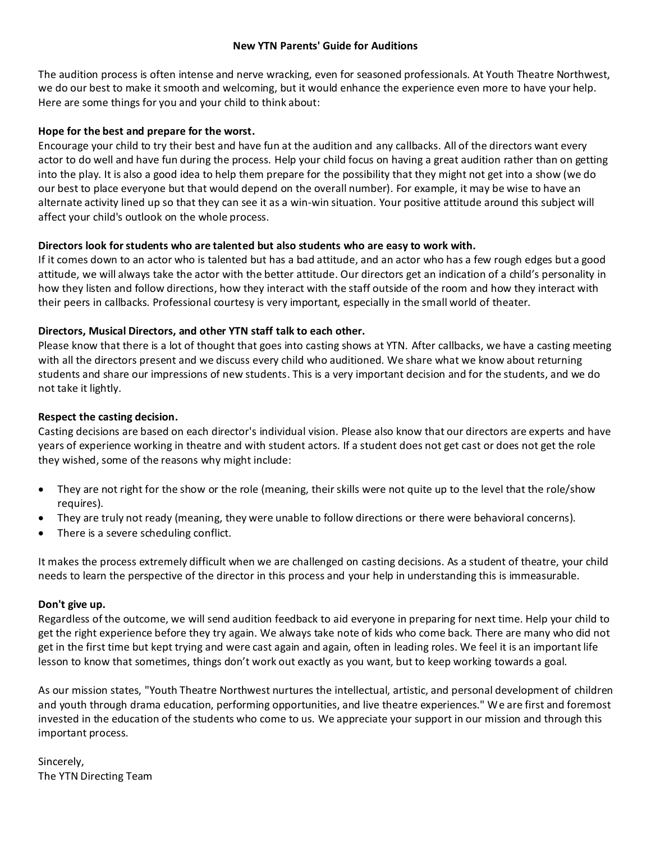#### **New YTN Parents' Guide for Auditions**

The audition process is often intense and nerve wracking, even for seasoned professionals. At Youth Theatre Northwest, we do our best to make it smooth and welcoming, but it would enhance the experience even more to have your help. Here are some things for you and your child to think about:

### **Hope for the best and prepare for the worst.**

Encourage your child to try their best and have fun at the audition and any callbacks. All of the directors want every actor to do well and have fun during the process. Help your child focus on having a great audition rather than on getting into the play. It is also a good idea to help them prepare for the possibility that they might not get into a show (we do our best to place everyone but that would depend on the overall number). For example, it may be wise to have an alternate activity lined up so that they can see it as a win-win situation. Your positive attitude around this subject will affect your child's outlook on the whole process.

## **Directors look for students who are talented but also students who are easy to work with.**

If it comes down to an actor who is talented but has a bad attitude, and an actor who has a few rough edges but a good attitude, we will always take the actor with the better attitude. Our directors get an indication of a child's personality in how they listen and follow directions, how they interact with the staff outside of the room and how they interact with their peers in callbacks. Professional courtesy is very important, especially in the small world of theater.

## **Directors, Musical Directors, and other YTN staff talk to each other.**

Please know that there is a lot of thought that goes into casting shows at YTN. After callbacks, we have a casting meeting with all the directors present and we discuss every child who auditioned. We share what we know about returning students and share our impressions of new students. This is a very important decision and for the students, and we do not take it lightly.

### **Respect the casting decision.**

Casting decisions are based on each director's individual vision. Please also know that our directors are experts and have years of experience working in theatre and with student actors. If a student does not get cast or does not get the role they wished, some of the reasons why might include:

- They are not right for the show or the role (meaning, their skills were not quite up to the level that the role/show requires).
- They are truly not ready (meaning, they were unable to follow directions or there were behavioral concerns).
- There is a severe scheduling conflict.

It makes the process extremely difficult when we are challenged on casting decisions. As a student of theatre, your child needs to learn the perspective of the director in this process and your help in understanding this is immeasurable.

#### **Don't give up.**

Regardless of the outcome, we will send audition feedback to aid everyone in preparing for next time. Help your child to get the right experience before they try again. We always take note of kids who come back. There are many who did not get in the first time but kept trying and were cast again and again, often in leading roles. We feel it is an important life lesson to know that sometimes, things don't work out exactly as you want, but to keep working towards a goal.

As our mission states, "Youth Theatre Northwest nurtures the intellectual, artistic, and personal development of children and youth through drama education, performing opportunities, and live theatre experiences." We are first and foremost invested in the education of the students who come to us. We appreciate your support in our mission and through this important process.

Sincerely, The YTN Directing Team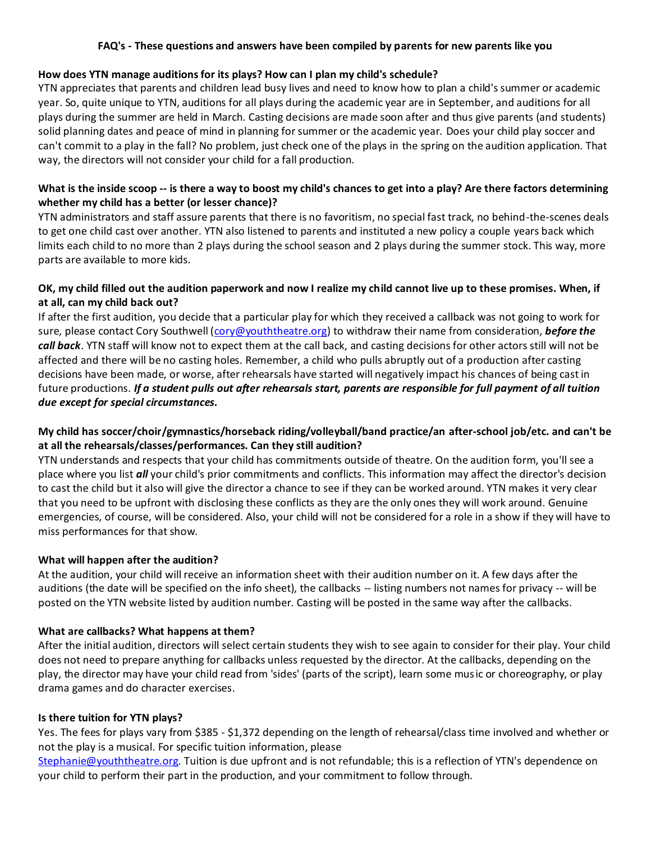### **FAQ's - These questions and answers have been compiled by parents for new parents like you**

#### **How does YTN manage auditions for its plays? How can I plan my child's schedule?**

YTN appreciates that parents and children lead busy lives and need to know how to plan a child's summer or academic year. So, quite unique to YTN, auditions for all plays during the academic year are in September, and auditions for all plays during the summer are held in March. Casting decisions are made soon after and thus give parents (and students) solid planning dates and peace of mind in planning for summer or the academic year. Does your child play soccer and can't commit to a play in the fall? No problem, just check one of the plays in the spring on the audition application. That way, the directors will not consider your child for a fall production.

# **What is the inside scoop -- is there a way to boost my child's chances to get into a play? Are there factors determining whether my child has a better (or lesser chance)?**

YTN administrators and staff assure parents that there is no favoritism, no special fast track, no behind-the-scenes deals to get one child cast over another. YTN also listened to parents and instituted a new policy a couple years back which limits each child to no more than 2 plays during the school season and 2 plays during the summer stock. This way, more parts are available to more kids.

# **OK, my child filled out the audition paperwork and now I realize my child cannot live up to these promises. When, if at all, can my child back out?**

If after the first audition, you decide that a particular play for which they received a callback was not going to work for sure, please contact Cory Southwell [\(cory@youththeatre.org\)](mailto:cory@youththeatre.org) to withdraw their name from consideration, **before the** *call back*. YTN staff will know not to expect them at the call back, and casting decisions for other actors still will not be affected and there will be no casting holes. Remember, a child who pulls abruptly out of a production after casting decisions have been made, or worse, after rehearsals have started will negatively impact his chances of being cast in future productions. *If a student pulls out after rehearsals start, parents are responsible for full payment of all tuition due except for special circumstances.*

# **My child has soccer/choir/gymnastics/horseback riding/volleyball/band practice/an after-school job/etc. and can't be at all the rehearsals/classes/performances. Can they still audition?**

YTN understands and respects that your child has commitments outside of theatre. On the audition form, you'll see a place where you list *all* your child's prior commitments and conflicts. This information may affect the director's decision to cast the child but it also will give the director a chance to see if they can be worked around. YTN makes it very clear that you need to be upfront with disclosing these conflicts as they are the only ones they will work around. Genuine emergencies, of course, will be considered. Also, your child will not be considered for a role in a show if they will have to miss performances for that show.

# **What will happen after the audition?**

At the audition, your child will receive an information sheet with their audition number on it. A few days after the auditions (the date will be specified on the info sheet), the callbacks -- listing numbers not names for privacy -- will be posted on the YTN website listed by audition number. Casting will be posted in the same way after the callbacks.

#### **What are callbacks? What happens at them?**

After the initial audition, directors will select certain students they wish to see again to consider for their play. Your child does not need to prepare anything for callbacks unless requested by the director. At the callbacks, depending on the play, the director may have your child read from 'sides' (parts of the script), learn some music or choreography, or play drama games and do character exercises.

#### **Is there tuition for YTN plays?**

Yes. The fees for plays vary from \$385 - \$1,372 depending on the length of rehearsal/class time involved and whether or not the play is a musical. For specific tuition information, please

[Stephanie@youththeatre.org.](mailto:Stephanie@youththeatre.org) Tuition is due upfront and is not refundable; this is a reflection of YTN's dependence on your child to perform their part in the production, and your commitment to follow through.